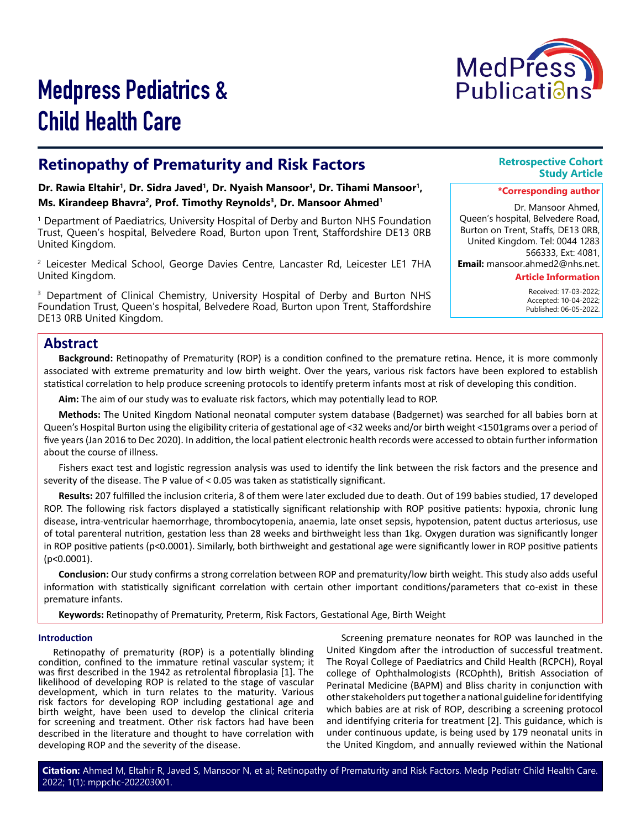

# Medpress Pediatrics & Child Health Care

## **Retinopathy of Prematurity and Risk Factors**

**Dr. Rawia Eltahir1, Dr. Sidra Javed1, Dr. Nyaish Mansoor1, Dr. Tihami Mansoor1,**  Ms. Kirandeep Bhavra<sup>2</sup>, Prof. Timothy Reynolds<sup>3</sup>, Dr. Mansoor Ahmed<sup>1</sup>

1 Department of Paediatrics, University Hospital of Derby and Burton NHS Foundation Trust, Queen's hospital, Belvedere Road, Burton upon Trent, Staffordshire DE13 0RB United Kingdom.

<sup>2</sup> Leicester Medical School, George Davies Centre, Lancaster Rd, Leicester LE1 7HA United Kingdom.

3 Department of Clinical Chemistry, University Hospital of Derby and Burton NHS Foundation Trust, Queen's hospital, Belvedere Road, Burton upon Trent, Staffordshire DE13 0RB United Kingdom.

#### **Retrospective Cohort Study Article**

#### **\*Corresponding author**

Dr. Mansoor Ahmed, Queen's hospital, Belvedere Road, Burton on Trent, Staffs, DE13 0RB, United Kingdom. Tel: 0044 1283 566333, Ext: 4081,

**Email:** mansoor.ahmed2@nhs.net.

**Article Information**

 Received: 17-03-2022; Accepted: 10-04-2022; Published: 06-05-2022.

### **Abstract**

**Background:** Retinopathy of Prematurity (ROP) is a condition confined to the premature retina. Hence, it is more commonly associated with extreme prematurity and low birth weight. Over the years, various risk factors have been explored to establish statistical correlation to help produce screening protocols to identify preterm infants most at risk of developing this condition.

**Aim:** The aim of our study was to evaluate risk factors, which may potentially lead to ROP.

**Methods:** The United Kingdom National neonatal computer system database (Badgernet) was searched for all babies born at Queen's Hospital Burton using the eligibility criteria of gestational age of <32 weeks and/or birth weight <1501grams over a period of five years (Jan 2016 to Dec 2020). In addition, the local patient electronic health records were accessed to obtain further information about the course of illness.

Fishers exact test and logistic regression analysis was used to identify the link between the risk factors and the presence and severity of the disease. The P value of < 0.05 was taken as statistically significant.

**Results:** 207 fulfilled the inclusion criteria, 8 of them were later excluded due to death. Out of 199 babies studied, 17 developed ROP. The following risk factors displayed a statistically significant relationship with ROP positive patients: hypoxia, chronic lung disease, intra-ventricular haemorrhage, thrombocytopenia, anaemia, late onset sepsis, hypotension, patent ductus arteriosus, use of total parenteral nutrition, gestation less than 28 weeks and birthweight less than 1kg. Oxygen duration was significantly longer in ROP positive patients (p<0.0001). Similarly, both birthweight and gestational age were significantly lower in ROP positive patients (p<0.0001).

**Conclusion:** Our study confirms a strong correlation between ROP and prematurity/low birth weight. This study also adds useful information with statistically significant correlation with certain other important conditions/parameters that co-exist in these premature infants.

**Keywords:** Retinopathy of Prematurity, Preterm, Risk Factors, Gestational Age, Birth Weight

#### **Introduction**

Retinopathy of prematurity (ROP) is a potentially blinding condition, confined to the immature retinal vascular system; it was first described in the 1942 as retrolental fibroplasia [1]. The likelihood of developing ROP is related to the stage of vascular development, which in turn relates to the maturity. Various risk factors for developing ROP including gestational age and birth weight, have been used to develop the clinical criteria for screening and treatment. Other risk factors had have been described in the literature and thought to have correlation with developing ROP and the severity of the disease.

Screening premature neonates for ROP was launched in the United Kingdom after the introduction of successful treatment. The Royal College of Paediatrics and Child Health (RCPCH), Royal college of Ophthalmologists (RCOphth), British Association of Perinatal Medicine (BAPM) and Bliss charity in conjunction with other stakeholders put together a national guideline for identifying which babies are at risk of ROP, describing a screening protocol and identifying criteria for treatment [2]. This guidance, which is under continuous update, is being used by 179 neonatal units in the United Kingdom, and annually reviewed within the National

**Citation:** Ahmed M, Eltahir R, Javed S, Mansoor N, et al; Retinopathy of Prematurity and Risk Factors. Medp Pediatr Child Health Care. 2022; 1(1): mppchc-202203001.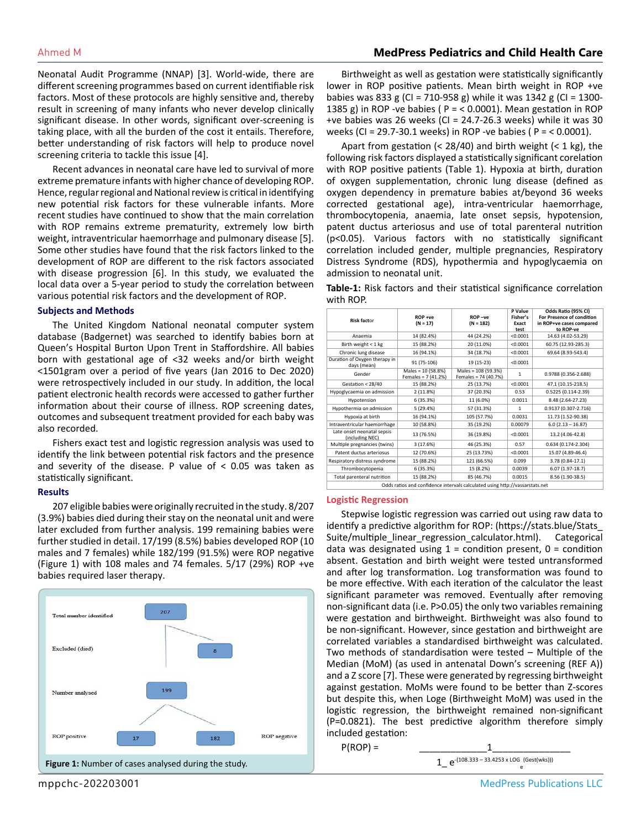#### Ahmed M **MedPress Pediatrics and Child Health Care**

Neonatal Audit Programme (NNAP) [3]. World-wide, there are different screening programmes based on current identifiable risk factors. Most of these protocols are highly sensitive and, thereby result in screening of many infants who never develop clinically significant disease. In other words, significant over-screening is taking place, with all the burden of the cost it entails. Therefore, better understanding of risk factors will help to produce novel screening criteria to tackle this issue [4].

Recent advances in neonatal care have led to survival of more extreme premature infants with higher chance of developing ROP. Hence, regular regional and National review is critical in identifying new potential risk factors for these vulnerable infants. More recent studies have continued to show that the main correlation with ROP remains extreme prematurity, extremely low birth weight, intraventricular haemorrhage and pulmonary disease [5]. Some other studies have found that the risk factors linked to the development of ROP are different to the risk factors associated with disease progression [6]. In this study, we evaluated the local data over a 5-year period to study the correlation between various potential risk factors and the development of ROP.

#### **Subjects and Methods**

The United Kingdom National neonatal computer system database (Badgernet) was searched to identify babies born at Queen's Hospital Burton Upon Trent in Staffordshire. All babies born with gestational age of <32 weeks and/or birth weight <1501gram over a period of five years (Jan 2016 to Dec 2020) were retrospectively included in our study. In addition, the local patient electronic health records were accessed to gather further information about their course of illness. ROP screening dates, outcomes and subsequent treatment provided for each baby was also recorded.

Fishers exact test and logistic regression analysis was used to identify the link between potential risk factors and the presence and severity of the disease. P value of < 0.05 was taken as statistically significant.

#### **Results**

207 eligible babies were originally recruited in the study. 8/207 (3.9%) babies died during their stay on the neonatal unit and were later excluded from further analysis. 199 remaining babies were further studied in detail. 17/199 (8.5%) babies developed ROP (10 males and 7 females) while 182/199 (91.5%) were ROP negative (Figure 1) with 108 males and 74 females. 5/17 (29%) ROP +ve babies required laser therapy.



Birthweight as well as gestation were statistically significantly lower in ROP positive patients. Mean birth weight in ROP +ve babies was 833 g (CI = 710-958 g) while it was 1342 g (CI = 1300- 1385 g) in ROP -ve babies ( $P = < 0.0001$ ). Mean gestation in ROP +ve babies was 26 weeks (CI = 24.7-26.3 weeks) while it was 30 weeks (CI = 29.7-30.1 weeks) in ROP -ve babies ( P = < 0.0001).

Apart from gestation  $( $28/40$ )$  and birth weight  $( $1 \text{ kg}$ ), the$ following risk factors displayed a statistically significant corelation with ROP positive patients (Table 1). Hypoxia at birth, duration of oxygen supplementation, chronic lung disease (defined as oxygen dependency in premature babies at/beyond 36 weeks corrected gestational age), intra-ventricular haemorrhage, thrombocytopenia, anaemia, late onset sepsis, hypotension, patent ductus arteriosus and use of total parenteral nutrition (p<0.05). Various factors with no statistically significant correlation included gender, multiple pregnancies, Respiratory Distress Syndrome (RDS), hypothermia and hypoglycaemia on admission to neonatal unit.

**Table-1:** Risk factors and their statistical significance correlation with ROP.

| <b>Risk factor</b>                                                           | ROP +ve<br>$(N = 17)$                     | ROP-ve<br>$(N = 182)$                       | P Value<br>Fisher's<br>Exact<br>test | Odds Ratio (95% CI)<br>For Presence of condition<br>in ROP+ve cases compared<br>to ROP-ve |
|------------------------------------------------------------------------------|-------------------------------------------|---------------------------------------------|--------------------------------------|-------------------------------------------------------------------------------------------|
| Anaemia                                                                      | 14 (82.4%)                                | 44 (24.2%)                                  | < 0.0001                             | 14.63 (4.02-53.29)                                                                        |
| Birth weight < 1 kg                                                          | 15 (88.2%)                                | 20 (11.0%)                                  | < 0.0001                             | 60.75 (12.93-285.3)                                                                       |
| Chronic lung disease                                                         | 16 (94.1%)                                | 34 (18.7%)                                  | < 0.0001                             | 69.64 (8.93-543.4)                                                                        |
| Duration of Oxygen therapy in<br>days (mean)                                 | 91 (75-106)                               | 19 (15-23)                                  | < 0.0001                             |                                                                                           |
| Gender                                                                       | Males = 10 (58.8%)<br>Females = 7 (41.2%) | Males = 108 (59.3%)<br>Females = 74 (40.7%) | $\mathbf{1}$                         | 0.9788 (0.356-2.688)                                                                      |
| Gestation < 28/40                                                            | 15 (88.2%)                                | 25 (13.7%)                                  | < 0.0001                             | 47.1 (10.15-218.5)                                                                        |
| Hypoglycaemia on admission                                                   | 2(11.8%)                                  | 37 (20.3%)                                  | 0.53                                 | 0.5225 (0.114-2.39)                                                                       |
| Hypotension                                                                  | 6(35.3%)                                  | 11 (6.0%)                                   | 0.0011                               | 8.48 (2.64-27.23)                                                                         |
| Hypothermia on admission                                                     | 5 (29.4%)                                 | 57 (31.3%)                                  | $\mathbf{1}$                         | 0.9137 (0.307-2.716)                                                                      |
| Hypoxia at birth                                                             | 16 (94.1%)                                | 105 (57.7%)                                 | 0.0031                               | 11.73 (1.52-90.38)                                                                        |
| Intraventricular haemorrhage                                                 | 10 (58.8%)                                | 35 (19.2%)                                  | 0.00079                              | $6.0(2.13 - 16.87)$                                                                       |
| Late onset neonatal sepsis<br>(including NEC)                                | 13 (76.5%)                                | 36 (19.8%)                                  | < 0.0001                             | 13.2 (4.06-42.8)                                                                          |
| Multiple pregnancies (twins)                                                 | 3 (17.6%)                                 | 46 (25.3%)                                  | 0.57                                 | $0.634(0.174 - 2.304)$                                                                    |
| Patent ductus arteriosus                                                     | 12 (70.6%)                                | 25 (13.73%)                                 | < 0.0001                             | 15.07 (4.89-46.4)                                                                         |
| Respiratory distress syndrome                                                | 15 (88.2%)                                | 121 (66.5%)                                 | 0.099                                | 3.78 (0.84-17.1)                                                                          |
| Thrombocytopenia                                                             | 6(35.3%)                                  | 15 (8.2%)                                   | 0.0039                               | $6.07(1.97-18.7)$                                                                         |
| Total parenteral nutrition                                                   | 15 (88.2%)                                | 85 (46.7%)                                  | 0.0015                               | 8.56 (1.90-38.5)                                                                          |
| Odds ratios and confidence intervals calculated using http://vassarstats.net |                                           |                                             |                                      |                                                                                           |

#### **Logistic Regression**

Stepwise logistic regression was carried out using raw data to identify a predictive algorithm for ROP: (https://stats.blue/Stats\_ Suite/multiple linear regression calculator.html). Categorical data was designated using  $1 =$  condition present,  $0 =$  condition absent. Gestation and birth weight were tested untransformed and after log transformation. Log transformation was found to be more effective. With each iteration of the calculator the least significant parameter was removed. Eventually after removing non-significant data (i.e. P>0.05) the only two variables remaining were gestation and birthweight. Birthweight was also found to be non-significant. However, since gestation and birthweight are correlated variables a standardised birthweight was calculated. Two methods of standardisation were tested – Multiple of the Median (MoM) (as used in antenatal Down's screening (REF A)) and a Z score [7]. These were generated by regressing birthweight against gestation. MoMs were found to be better than Z-scores but despite this, when Loge (Birthweight MoM) was used in the logistic regression, the birthweight remained non-significant (P=0.0821). The best predictive algorithm therefore simply included gestation:

 $P(ROP) =$ 

$$
1\_\,e^{-(108.333\,-\,33.4253\,x\,LOG\,\,\text{(Gest(wks)))}}\,\,\mathrm{e}^{}
$$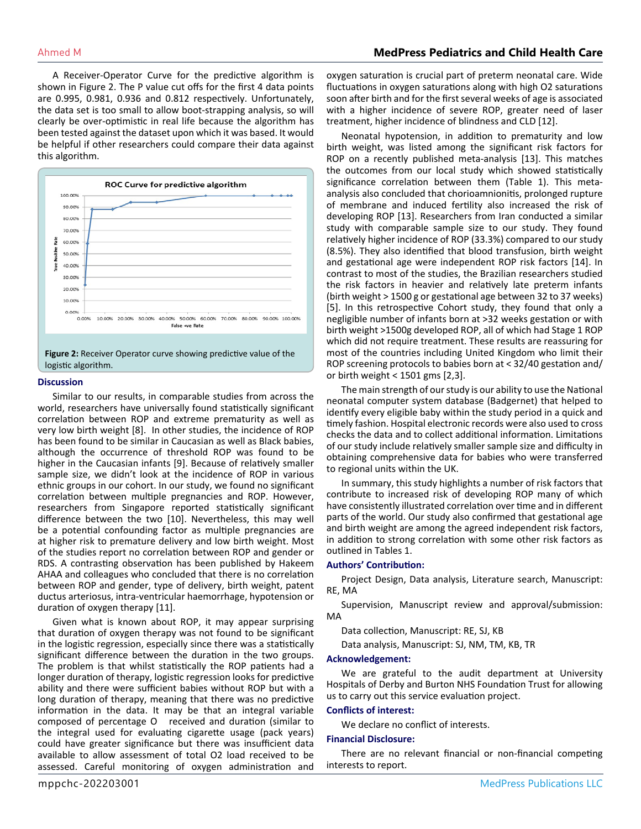A Receiver-Operator Curve for the predictive algorithm is shown in Figure 2. The P value cut offs for the first 4 data points are 0.995, 0.981, 0.936 and 0.812 respectively. Unfortunately, the data set is too small to allow boot-strapping analysis, so will clearly be over-optimistic in real life because the algorithm has been tested against the dataset upon which it was based. It would be helpful if other researchers could compare their data against this algorithm.



#### **Discussion**

Similar to our results, in comparable studies from across the world, researchers have universally found statistically significant correlation between ROP and extreme prematurity as well as very low birth weight [8]. In other studies, the incidence of ROP has been found to be similar in Caucasian as well as Black babies, although the occurrence of threshold ROP was found to be higher in the Caucasian infants [9]. Because of relatively smaller sample size, we didn't look at the incidence of ROP in various ethnic groups in our cohort. In our study, we found no significant correlation between multiple pregnancies and ROP. However, researchers from Singapore reported statistically significant difference between the two [10]. Nevertheless, this may well be a potential confounding factor as multiple pregnancies are at higher risk to premature delivery and low birth weight. Most of the studies report no correlation between ROP and gender or RDS. A contrasting observation has been published by Hakeem AHAA and colleagues who concluded that there is no correlation between ROP and gender, type of delivery, birth weight, patent ductus arteriosus, intra-ventricular haemorrhage, hypotension or duration of oxygen therapy [11].

Given what is known about ROP, it may appear surprising that duration of oxygen therapy was not found to be significant in the logistic regression, especially since there was a statistically significant difference between the duration in the two groups. The problem is that whilst statistically the ROP patients had a longer duration of therapy, logistic regression looks for predictive ability and there were sufficient babies without ROP but with a long duration of therapy, meaning that there was no predictive information in the data. It may be that an integral variable composed of percentage O received and duration (similar to the integral used for evaluating cigarette usage (pack years) could have greater significance but there was insufficient data available to allow assessment of total O2 load received to be assessed. Careful monitoring of oxygen administration and

oxygen saturation is crucial part of preterm neonatal care. Wide fluctuations in oxygen saturations along with high O2 saturations soon after birth and for the first several weeks of age is associated with a higher incidence of severe ROP, greater need of laser treatment, higher incidence of blindness and CLD [12].

Neonatal hypotension, in addition to prematurity and low birth weight, was listed among the significant risk factors for ROP on a recently published meta-analysis [13]. This matches the outcomes from our local study which showed statistically significance correlation between them (Table 1). This metaanalysis also concluded that chorioamnionitis, prolonged rupture of membrane and induced fertility also increased the risk of developing ROP [13]. Researchers from Iran conducted a similar study with comparable sample size to our study. They found relatively higher incidence of ROP (33.3%) compared to our study (8.5%). They also identified that blood transfusion, birth weight and gestational age were independent ROP risk factors [14]. In contrast to most of the studies, the Brazilian researchers studied the risk factors in heavier and relatively late preterm infants (birth weight > 1500 g or gestational age between 32 to 37 weeks) [5]. In this retrospective Cohort study, they found that only a negligible number of infants born at >32 weeks gestation or with birth weight >1500g developed ROP, all of which had Stage 1 ROP which did not require treatment. These results are reassuring for most of the countries including United Kingdom who limit their ROP screening protocols to babies born at < 32/40 gestation and/ or birth weight < 1501 gms [2,3].

The main strength of our study is our ability to use the National neonatal computer system database (Badgernet) that helped to identify every eligible baby within the study period in a quick and timely fashion. Hospital electronic records were also used to cross checks the data and to collect additional information. Limitations of our study include relatively smaller sample size and difficulty in obtaining comprehensive data for babies who were transferred to regional units within the UK.

In summary, this study highlights a number of risk factors that contribute to increased risk of developing ROP many of which have consistently illustrated correlation over time and in different parts of the world. Our study also confirmed that gestational age and birth weight are among the agreed independent risk factors, in addition to strong correlation with some other risk factors as outlined in Tables 1.

#### **Authors' Contribution:**

Project Design, Data analysis, Literature search, Manuscript: RE, MA

Supervision, Manuscript review and approval/submission: MA

Data collection, Manuscript: RE, SJ, KB

Data analysis, Manuscript: SJ, NM, TM, KB, TR

#### **Acknowledgement:**

We are grateful to the audit department at University Hospitals of Derby and Burton NHS Foundation Trust for allowing us to carry out this service evaluation project.

#### **Conflicts of interest:**

We declare no conflict of interests.

#### **Financial Disclosure:**

There are no relevant financial or non-financial competing interests to report.